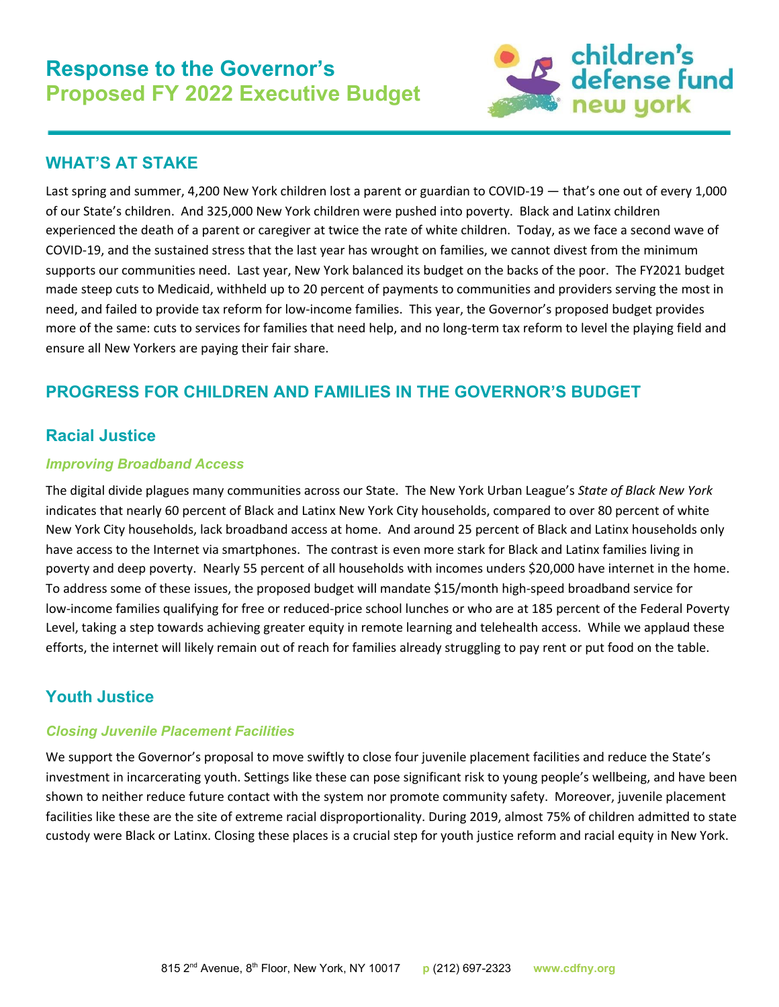

## **WHAT'S AT STAKE**

Last spring and summer, 4,200 New York children lost a parent or guardian to COVID-19 — that's one out of every 1,000 of our State's children. And 325,000 New York children were pushed into poverty. Black and Latinx children experienced the death of a parent or caregiver at twice the rate of white children. Today, as we face a second wave of COVID-19, and the sustained stress that the last year has wrought on families, we cannot divest from the minimum supports our communities need. Last year, New York balanced its budget on the backs of the poor. The FY2021 budget made steep cuts to Medicaid, withheld up to 20 percent of payments to communities and providers serving the most in need, and failed to provide tax reform for low-income families. This year, the Governor's proposed budget provides more of the same: cuts to services for families that need help, and no long-term tax reform to level the playing field and ensure all New Yorkers are paying their fair share.

# **PROGRESS FOR CHILDREN AND FAMILIES IN THE GOVERNOR'S BUDGET**

# **Racial Justice**

### *Improving Broadband Access*

The digital divide plagues many communities across our State. The New York Urban League's *State of Black New York* indicates that nearly 60 percent of Black and Latinx New York City households, compared to over 80 percent of white New York City households, lack broadband access at home. And around 25 percent of Black and Latinx households only have access to the Internet via smartphones. The contrast is even more stark for Black and Latinx families living in poverty and deep poverty. Nearly 55 percent of all households with incomes unders \$20,000 have internet in the home. To address some of these issues, the proposed budget will mandate \$15/month high-speed broadband service for low-income families qualifying for free or reduced-price school lunches or who are at 185 percent of the Federal Poverty Level, taking a step towards achieving greater equity in remote learning and telehealth access. While we applaud these efforts, the internet will likely remain out of reach for families already struggling to pay rent or put food on the table.

# **Youth Justice**

### *Closing Juvenile Placement Facilities*

We support the Governor's proposal to move swiftly to close four juvenile placement facilities and reduce the State's investment in incarcerating youth. Settings like these can pose significant risk to young people's wellbeing, and have been shown to neither reduce future contact with the system nor promote community safety. Moreover, juvenile placement facilities like these are the site of extreme racial disproportionality. During 2019, almost 75% of children admitted to state custody were Black or Latinx. Closing these places is a crucial step for youth justice reform and racial equity in New York.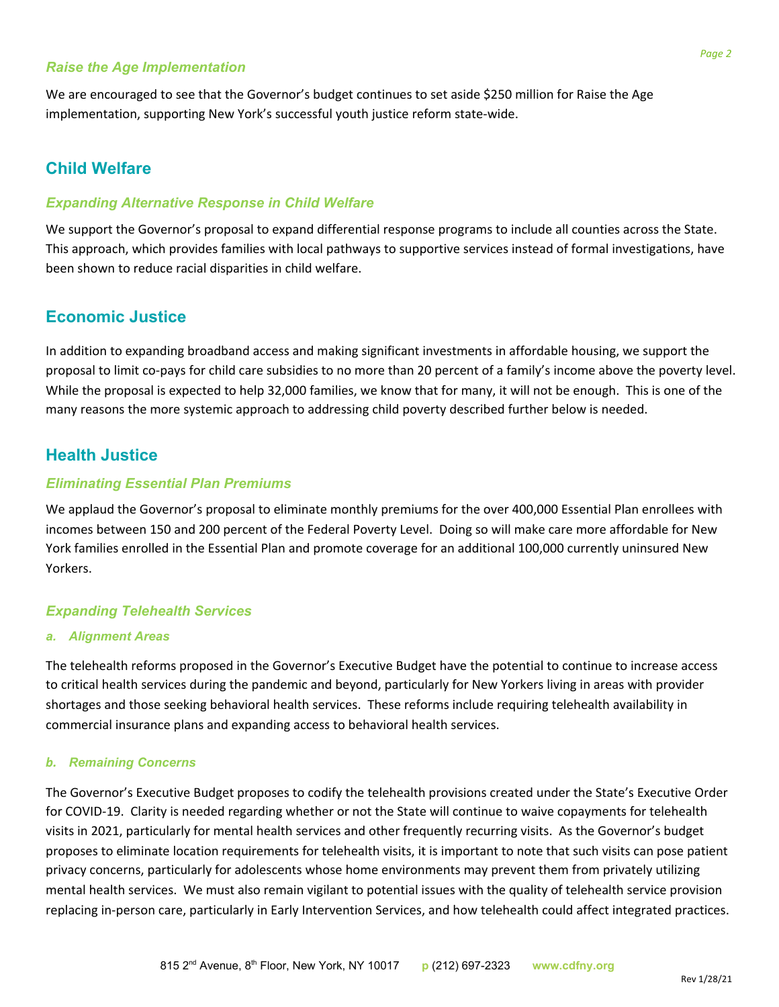#### *Raise the Age Implementation*

We are encouraged to see that the Governor's budget continues to set aside \$250 million for Raise the Age implementation, supporting New York's successful youth justice reform state-wide.

## **Child Welfare**

#### *Expanding Alternative Response in Child Welfare*

We support the Governor's proposal to expand differential response programs to include all counties across the State. This approach, which provides families with local pathways to supportive services instead of formal investigations, have been shown to reduce racial disparities in child welfare.

## **Economic Justice**

In addition to expanding broadband access and making significant investments in affordable housing, we support the proposal to limit co-pays for child care subsidies to no more than 20 percent of a family's income above the poverty level. While the proposal is expected to help 32,000 families, we know that for many, it will not be enough. This is one of the many reasons the more systemic approach to addressing child poverty described further below is needed.

## **Health Justice**

#### *Eliminating Essential Plan Premiums*

We applaud the Governor's proposal to eliminate monthly premiums for the over 400,000 Essential Plan enrollees with incomes between 150 and 200 percent of the Federal Poverty Level. Doing so will make care more affordable for New York families enrolled in the Essential Plan and promote coverage for an additional 100,000 currently uninsured New Yorkers.

### *Expanding Telehealth Services*

#### *a. Alignment Areas*

The telehealth reforms proposed in the Governor's Executive Budget have the potential to continue to increase access to critical health services during the pandemic and beyond, particularly for New Yorkers living in areas with provider shortages and those seeking behavioral health services. These reforms include requiring telehealth availability in commercial insurance plans and expanding access to behavioral health services.

#### *b. Remaining Concerns*

The Governor's Executive Budget proposes to codify the telehealth provisions created under the State's Executive Order for COVID-19. Clarity is needed regarding whether or not the State will continue to waive copayments for telehealth visits in 2021, particularly for mental health services and other frequently recurring visits. As the Governor's budget proposes to eliminate location requirements for telehealth visits, it is important to note that such visits can pose patient privacy concerns, particularly for adolescents whose home environments may prevent them from privately utilizing mental health services. We must also remain vigilant to potential issues with the quality of telehealth service provision replacing in-person care, particularly in Early Intervention Services, and how telehealth could affect integrated practices.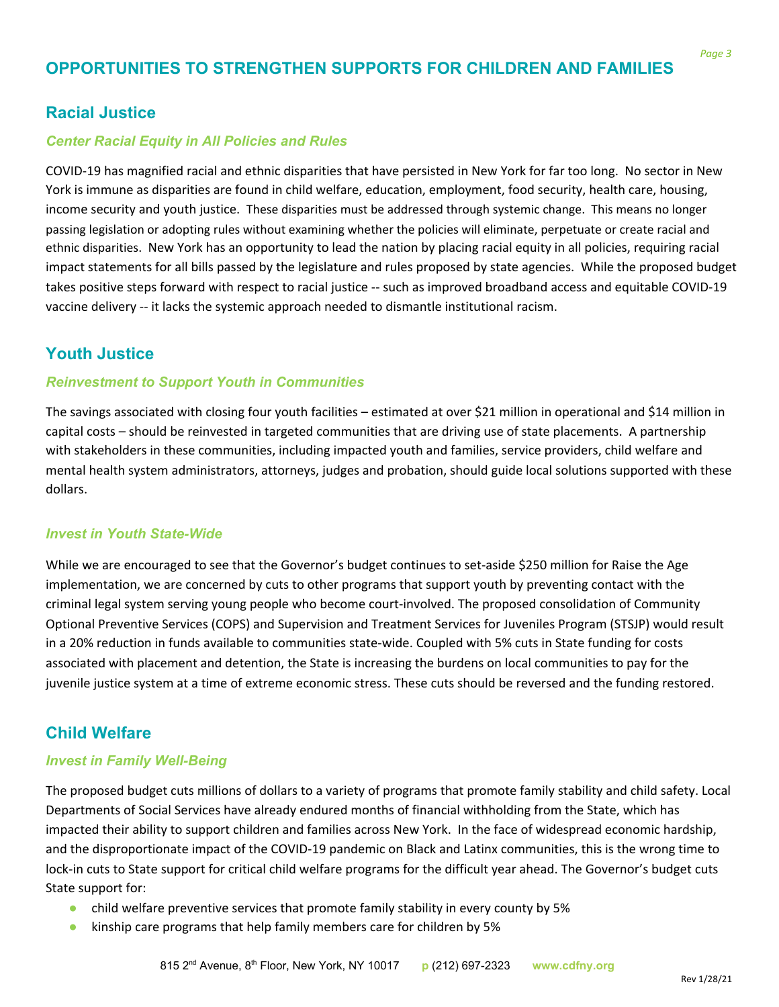# **OPPORTUNITIES TO STRENGTHEN SUPPORTS FOR CHILDREN AND FAMILIES**

## **Racial Justice**

#### *Center Racial Equity in All Policies and Rules*

COVID-19 has magnified racial and ethnic disparities that have persisted in New York for far too long. No sector in New York is immune as disparities are found in child welfare, education, employment, food security, health care, housing, income security and youth justice. These disparities must be addressed through systemic change. This means no longer passing legislation or adopting rules without examining whether the policies will eliminate, perpetuate or create racial and ethnic disparities. New York has an opportunity to lead the nation by placing racial equity in all policies, requiring racial impact statements for all bills passed by the legislature and rules proposed by state agencies. While the proposed budget takes positive steps forward with respect to racial justice -- such as improved broadband access and equitable COVID-19 vaccine delivery -- it lacks the systemic approach needed to dismantle institutional racism.

## **Youth Justice**

#### *Reinvestment to Support Youth in Communities*

The savings associated with closing four youth facilities – estimated at over \$21 million in operational and \$14 million in capital costs – should be reinvested in targeted communities that are driving use of state placements. A partnership with stakeholders in these communities, including impacted youth and families, service providers, child welfare and mental health system administrators, attorneys, judges and probation, should guide local solutions supported with these dollars.

#### *Invest in Youth State-Wide*

While we are encouraged to see that the Governor's budget continues to set-aside \$250 million for Raise the Age implementation, we are concerned by cuts to other programs that support youth by preventing contact with the criminal legal system serving young people who become court-involved. The proposed consolidation of Community Optional Preventive Services (COPS) and Supervision and Treatment Services for Juveniles Program (STSJP) would result in a 20% reduction in funds available to communities state-wide. Coupled with 5% cuts in State funding for costs associated with placement and detention, the State is increasing the burdens on local communities to pay for the juvenile justice system at a time of extreme economic stress. These cuts should be reversed and the funding restored.

## **Child Welfare**

#### *Invest in Family Well-Being*

The proposed budget cuts millions of dollars to a variety of programs that promote family stability and child safety. Local Departments of Social Services have already endured months of financial withholding from the State, which has impacted their ability to support children and families across New York. In the face of widespread economic hardship, and the disproportionate impact of the COVID-19 pandemic on Black and Latinx communities, this is the wrong time to lock-in cuts to State support for critical child welfare programs for the difficult year ahead. The Governor's budget cuts State support for:

- child welfare preventive services that promote family stability in every county by 5%
- kinship care programs that help family members care for children by 5%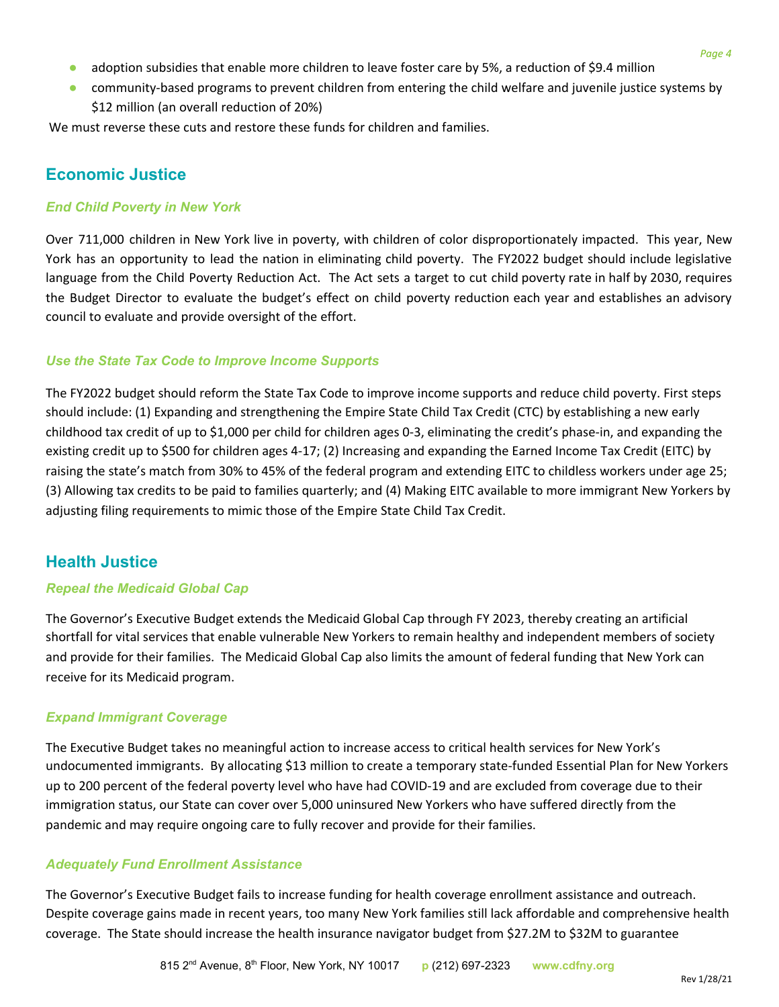- adoption subsidies that enable more children to leave foster care by 5%, a reduction of \$9.4 million
- community-based programs to prevent children from entering the child welfare and juvenile justice systems by \$12 million (an overall reduction of 20%)

We must reverse these cuts and restore these funds for children and families.

# **Economic Justice**

### *End Child Poverty in New York*

Over 711,000 children in New York live in poverty, with children of color disproportionately impacted. This year, New York has an opportunity to lead the nation in eliminating child poverty. The FY2022 budget should include legislative language from the Child Poverty Reduction Act. The Act sets a target to cut child poverty rate in half by 2030, requires the Budget Director to evaluate the budget's effect on child poverty reduction each year and establishes an advisory council to evaluate and provide oversight of the effort.

### *Use the State Tax Code to Improve Income Supports*

The FY2022 budget should reform the State Tax Code to improve income supports and reduce child poverty. First steps should include: (1) Expanding and strengthening the Empire State Child Tax Credit (CTC) by establishing a new early childhood tax credit of up to \$1,000 per child for children ages 0-3, eliminating the credit's phase-in, and expanding the existing credit up to \$500 for children ages 4-17; (2) Increasing and expanding the Earned Income Tax Credit (EITC) by raising the state's match from 30% to 45% of the federal program and extending EITC to childless workers under age 25; (3) Allowing tax credits to be paid to families quarterly; and (4) Making EITC available to more immigrant New Yorkers by adjusting filing requirements to mimic those of the Empire State Child Tax Credit.

# **Health Justice**

### *Repeal the Medicaid Global Cap*

The Governor's Executive Budget extends the Medicaid Global Cap through FY 2023, thereby creating an artificial shortfall for vital services that enable vulnerable New Yorkers to remain healthy and independent members of society and provide for their families. The Medicaid Global Cap also limits the amount of federal funding that New York can receive for its Medicaid program.

## *Expand Immigrant Coverage*

The Executive Budget takes no meaningful action to increase access to critical health services for New York's undocumented immigrants. By allocating \$13 million to create a temporary state-funded Essential Plan for New Yorkers up to 200 percent of the federal poverty level who have had COVID-19 and are excluded from coverage due to their immigration status, our State can cover over 5,000 uninsured New Yorkers who have suffered directly from the pandemic and may require ongoing care to fully recover and provide for their families.

### *Adequately Fund Enrollment Assistance*

The Governor's Executive Budget fails to increase funding for health coverage enrollment assistance and outreach. Despite coverage gains made in recent years, too many New York families still lack affordable and comprehensive health coverage. The State should increase the health insurance navigator budget from \$27.2M to \$32M to guarantee